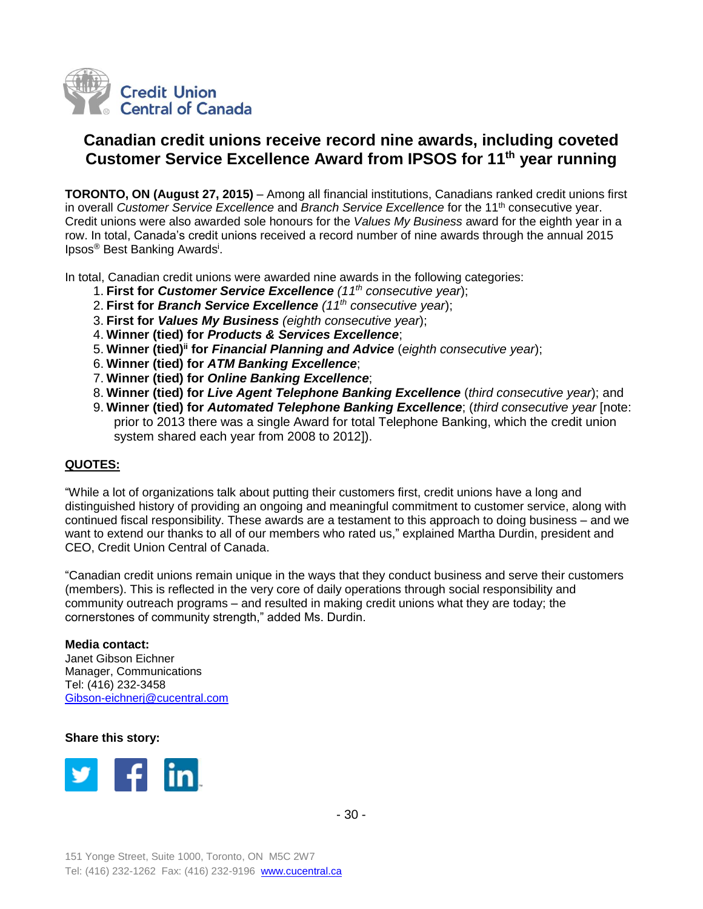

# **Canadian credit unions receive record nine awards, including coveted Customer Service Excellence Award from IPSOS for 11th year running**

**TORONTO, ON (August 27, 2015)** – Among all financial institutions, Canadians ranked credit unions first in overall *Customer Service Excellence* and *Branch Service Excellence* for the 11th consecutive year. Credit unions were also awarded sole honours for the *Values My Business* award for the eighth year in a row. In total, Canada's credit unions received a record number of nine awards through the annual 2015 Ipsos<sup>®</sup> Best Banking Awards<sup>i</sup>.

In total, Canadian credit unions were awarded nine awards in the following categories:

- 1. **First for** *Customer Service Excellence (11th consecutive year*);
- 2. **First for** *Branch Service Excellence (11th consecutive year*);
- 3. **First for** *Values My Business (eighth consecutive year*);
- 4. **Winner (tied) for** *Products & Services Excellence*;
- 5. **Winner (tied)ii for** *Financial Planning and Advice* (*eighth consecutive year*);
- 6. **Winner (tied) for** *ATM Banking Excellence*;
- 7. **Winner (tied) for** *Online Banking Excellence*;
- 8. **Winner (tied) for** *Live Agent Telephone Banking Excellence* (*third consecutive year*); and
- 9. **Winner (tied) for** *Automated Telephone Banking Excellence*; (*third consecutive year* [note: prior to 2013 there was a single Award for total Telephone Banking, which the credit union system shared each year from 2008 to 2012]).

## **QUOTES:**

"While a lot of organizations talk about putting their customers first, credit unions have a long and distinguished history of providing an ongoing and meaningful commitment to customer service, along with continued fiscal responsibility. These awards are a testament to this approach to doing business – and we want to extend our thanks to all of our members who rated us," explained Martha Durdin, president and CEO, Credit Union Central of Canada.

"Canadian credit unions remain unique in the ways that they conduct business and serve their customers (members). This is reflected in the very core of daily operations through social responsibility and community outreach programs – and resulted in making credit unions what they are today; the cornerstones of community strength," added Ms. Durdin.

### **Media contact:**

Janet Gibson Eichner Manager, Communications Tel: (416) 232-3458 [Gibson-eichnerj@cucentral.com](mailto:Gibson-eichnerj@cucentral.com)

### **Share this story:**